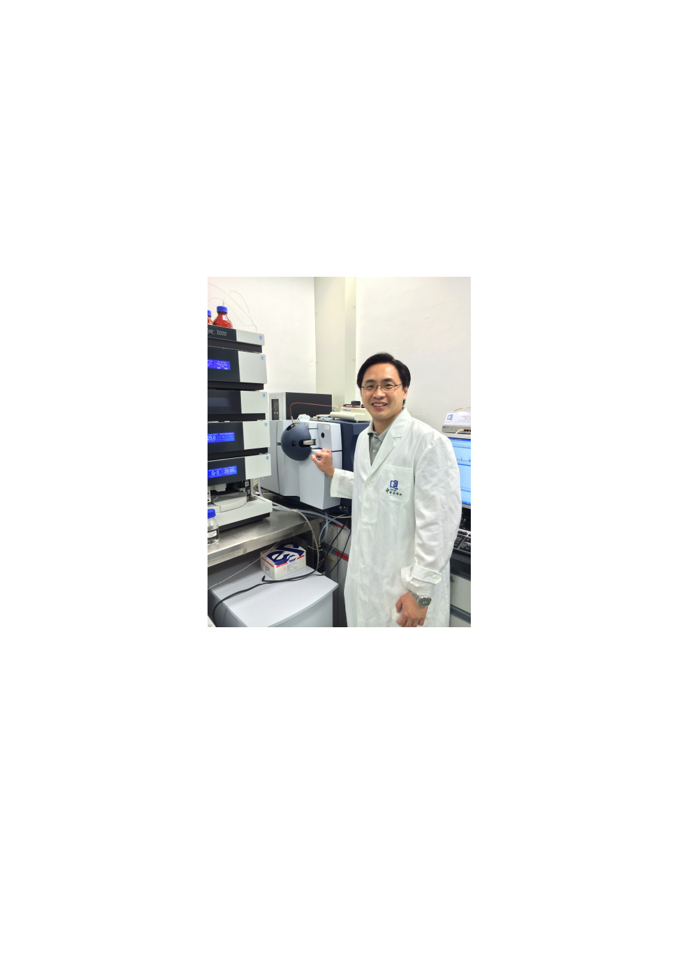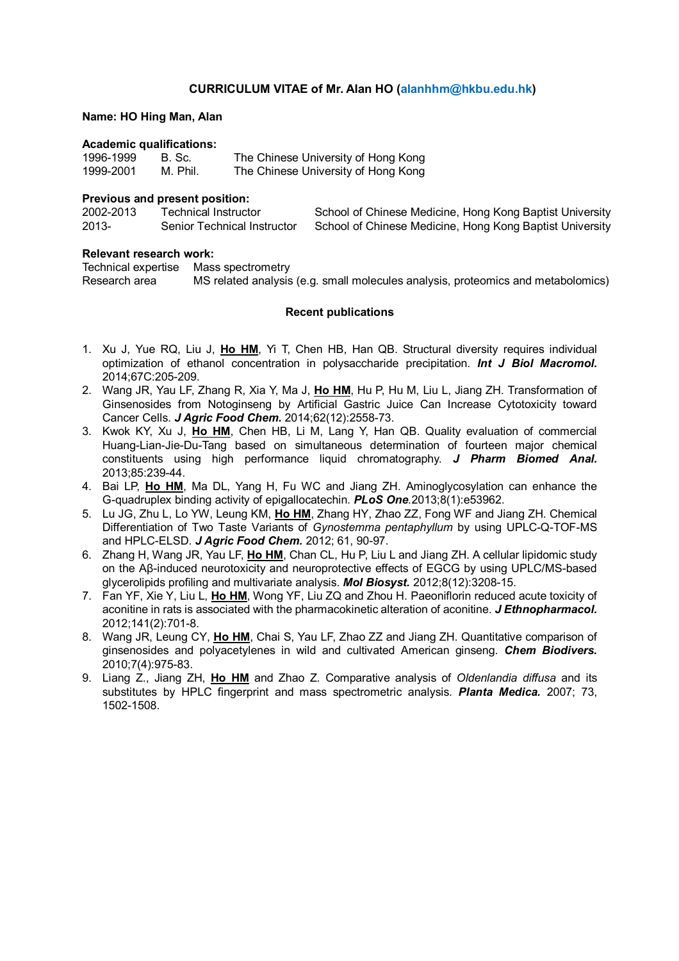## **CURRICULUM VITAE of Mr. Alan HO (alanhhm@hkbu.edu.hk)**

## **Name: HO Hing Man, Alan**

## **Academic qualifications:**

1996-1999 B. Sc. The Chinese University of Hong Kong 1999-2001 M. Phil. The Chinese University of Hong Kong

## **Previous and present position:**

| 2002-2013 | Technical Instructor        | School of Chinese Medicine, Hong Kong Baptist University |
|-----------|-----------------------------|----------------------------------------------------------|
| 2013-     | Senior Technical Instructor | School of Chinese Medicine, Hong Kong Baptist University |

## **Relevant research work:**

Technical expertise Mass spectrometry Research area MS related analysis (e.g. small molecules analysis, proteomics and metabolomics)

## **Recent publications**

- 1. Xu J, Yue RQ, Liu J, **Ho HM**, Yi T, Chen HB, Han QB. Structural diversity requires individual optimization of ethanol concentration in polysaccharide precipitation. *Int J Biol Macromol.* 2014;67C:205-209.
- 2. Wang JR, Yau LF, Zhang R, Xia Y, Ma J, **Ho HM**, Hu P, Hu M, Liu L, Jiang ZH. Transformation of Ginsenosides from Notoginseng by Artificial Gastric Juice Can Increase Cytotoxicity toward Cancer Cells. *J Agric Food Chem.* 2014;62(12):2558-73.
- 3. Kwok KY, Xu J, **Ho HM**, Chen HB, Li M, Lang Y, Han QB. Quality evaluation of commercial Huang-Lian-Jie-Du-Tang based on simultaneous determination of fourteen major chemical constituents using high performance liquid chromatography. *J Pharm Biomed Anal.* 2013;85:239-44.
- 4. Bai LP, **Ho HM**, Ma DL, Yang H, Fu WC and Jiang ZH. Aminoglycosylation can enhance the G-quadruplex binding activity of epigallocatechin. *PLoS One.*2013;8(1):e53962.
- 5. Lu JG, Zhu L, Lo YW, Leung KM, **Ho HM**, Zhang HY, Zhao ZZ, Fong WF and Jiang ZH. Chemical Differentiation of Two Taste Variants of *Gynostemma pentaphyllum* by using UPLC-Q-TOF-MS and HPLC-ELSD. *J Agric Food Chem.* 2012; 61, 90-97.
- 6. Zhang H, Wang JR, Yau LF, **Ho HM**, Chan CL, Hu P, Liu L and Jiang ZH. A cellular lipidomic study on the Aβ-induced neurotoxicity and neuroprotective effects of EGCG by using UPLC/MS-based glycerolipids profiling and multivariate analysis. *Mol Biosyst.* 2012;8(12):3208-15.
- 7. Fan YF, Xie Y, Liu L, **Ho HM**, Wong YF, Liu ZQ and Zhou H. Paeoniflorin reduced acute toxicity of aconitine in rats is associated with the pharmacokinetic alteration of aconitine. *J Ethnopharmacol.* 2012;141(2):701-8.
- 8. Wang JR, Leung CY, **Ho HM**, Chai S, Yau LF, Zhao ZZ and Jiang ZH. Quantitative comparison of ginsenosides and polyacetylenes in wild and cultivated American ginseng. *Chem Biodivers***.**  2010;7(4):975-83.
- 9. Liang Z., Jiang ZH, **Ho HM** and Zhao Z. Comparative analysis of *Oldenlandia diffusa* and its substitutes by HPLC fingerprint and mass spectrometric analysis. *Planta Medica.* 2007; 73, 1502-1508.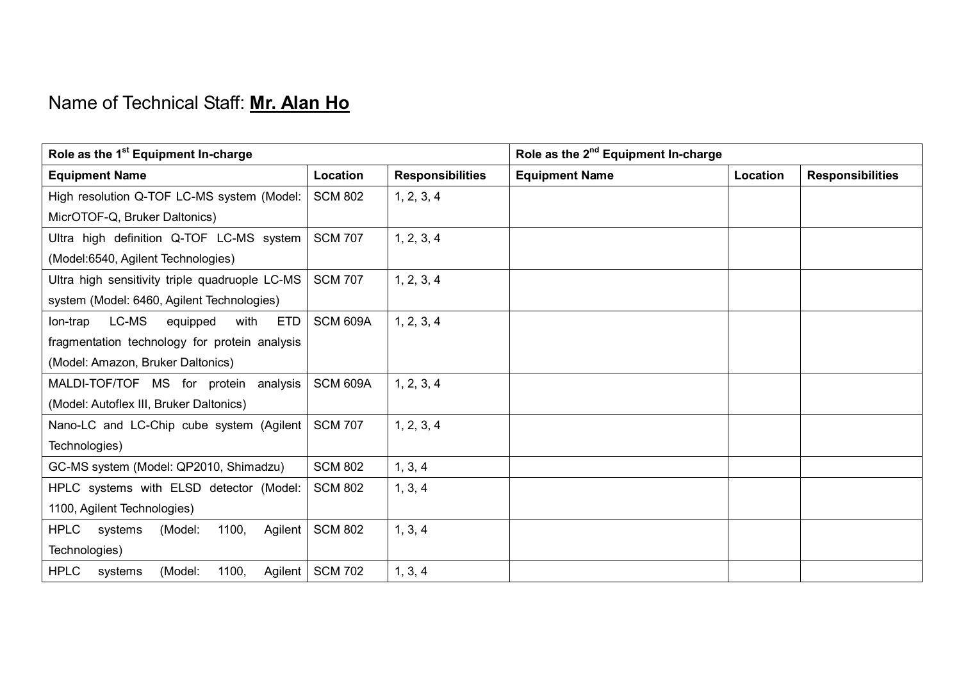# Name of Technical Staff: **Mr. Alan Ho**

| Role as the 1 <sup>st</sup> Equipment In-charge       |                |                         | Role as the 2 <sup>nd</sup> Equipment In-charge |          |                         |
|-------------------------------------------------------|----------------|-------------------------|-------------------------------------------------|----------|-------------------------|
| <b>Equipment Name</b>                                 | Location       | <b>Responsibilities</b> | <b>Equipment Name</b>                           | Location | <b>Responsibilities</b> |
| High resolution Q-TOF LC-MS system (Model:            | <b>SCM 802</b> | 1, 2, 3, 4              |                                                 |          |                         |
| MicrOTOF-Q, Bruker Daltonics)                         |                |                         |                                                 |          |                         |
| Ultra high definition Q-TOF LC-MS system              | <b>SCM 707</b> | 1, 2, 3, 4              |                                                 |          |                         |
| (Model:6540, Agilent Technologies)                    |                |                         |                                                 |          |                         |
| Ultra high sensitivity triple quadruople LC-MS        | <b>SCM 707</b> | 1, 2, 3, 4              |                                                 |          |                         |
| system (Model: 6460, Agilent Technologies)            |                |                         |                                                 |          |                         |
| LC-MS<br>equipped<br>with<br>ETD<br>lon-trap          | SCM 609A       | 1, 2, 3, 4              |                                                 |          |                         |
| fragmentation technology for protein analysis         |                |                         |                                                 |          |                         |
| (Model: Amazon, Bruker Daltonics)                     |                |                         |                                                 |          |                         |
| MALDI-TOF/TOF MS for protein analysis                 | SCM 609A       | 1, 2, 3, 4              |                                                 |          |                         |
| (Model: Autoflex III, Bruker Daltonics)               |                |                         |                                                 |          |                         |
| Nano-LC and LC-Chip cube system (Agilent              | <b>SCM 707</b> | 1, 2, 3, 4              |                                                 |          |                         |
| Technologies)                                         |                |                         |                                                 |          |                         |
| GC-MS system (Model: QP2010, Shimadzu)                | <b>SCM 802</b> | 1, 3, 4                 |                                                 |          |                         |
| HPLC systems with ELSD detector (Model:               | <b>SCM 802</b> | 1, 3, 4                 |                                                 |          |                         |
| 1100, Agilent Technologies)                           |                |                         |                                                 |          |                         |
| (Model:<br>HPLC systems<br>1100,<br>Agilent           | <b>SCM 802</b> | 1, 3, 4                 |                                                 |          |                         |
| Technologies)                                         |                |                         |                                                 |          |                         |
| <b>HPLC</b><br>1100,<br>systems<br>(Model:<br>Agilent | <b>SCM 702</b> | 1, 3, 4                 |                                                 |          |                         |